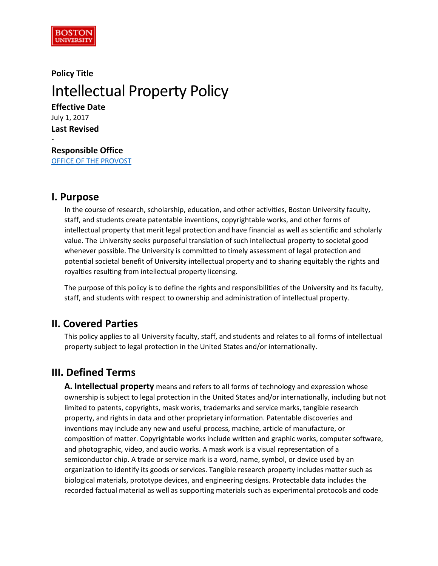

# **Policy Title** Intellectual Property Policy

**Effective Date** July 1, 2017 **Last Revised**

-

**Responsible Office** [OFFICE OF THE PROVOST](http://www.bu.edu/provost/)

# **I. Purpose**

In the course of research, scholarship, education, and other activities, Boston University faculty, staff, and students create patentable inventions, copyrightable works, and other forms of intellectual property that merit legal protection and have financial as well as scientific and scholarly value. The University seeks purposeful translation of such intellectual property to societal good whenever possible. The University is committed to timely assessment of legal protection and potential societal benefit of University intellectual property and to sharing equitably the rights and royalties resulting from intellectual property licensing.

The purpose of this policy is to define the rights and responsibilities of the University and its faculty, staff, and students with respect to ownership and administration of intellectual property.

# **II. Covered Parties**

This policy applies to all University faculty, staff, and students and relates to all forms of intellectual property subject to legal protection in the United States and/or internationally.

# **III. Defined Terms**

**A. Intellectual property** means and refers to all forms of technology and expression whose ownership is subject to legal protection in the United States and/or internationally, including but not limited to patents, copyrights, mask works, trademarks and service marks, tangible research property, and rights in data and other proprietary information. Patentable discoveries and inventions may include any new and useful process, machine, article of manufacture, or composition of matter. Copyrightable works include written and graphic works, computer software, and photographic, video, and audio works. A mask work is a visual representation of a semiconductor chip. A trade or service mark is a word, name, symbol, or device used by an organization to identify its goods or services. Tangible research property includes matter such as biological materials, prototype devices, and engineering designs. Protectable data includes the recorded factual material as well as supporting materials such as experimental protocols and code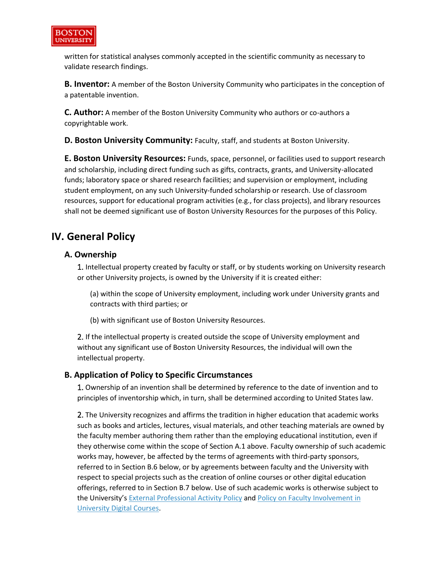

written for statistical analyses commonly accepted in the scientific community as necessary to validate research findings.

**B. Inventor:** A member of the Boston University Community who participates in the conception of a patentable invention.

**C. Author:** A member of the Boston University Community who authors or co-authors a copyrightable work.

**D. Boston University Community:** Faculty, staff, and students at Boston University.

**E. Boston University Resources:** Funds, space, personnel, or facilities used to support research and scholarship, including direct funding such as gifts, contracts, grants, and University-allocated funds; laboratory space or shared research facilities; and supervision or employment, including student employment, on any such University-funded scholarship or research. Use of classroom resources, support for educational program activities (e.g., for class projects), and library resources shall not be deemed significant use of Boston University Resources for the purposes of this Policy.

# **IV. General Policy**

#### **A. Ownership**

1. Intellectual property created by faculty or staff, or by students working on University research or other University projects, is owned by the University if it is created either:

(a) within the scope of University employment, including work under University grants and contracts with third parties; or

(b) with significant use of Boston University Resources.

2. If the intellectual property is created outside the scope of University employment and without any significant use of Boston University Resources, the individual will own the intellectual property.

#### **B. Application of Policy to Specific Circumstances**

1. Ownership of an invention shall be determined by reference to the date of invention and to principles of inventorship which, in turn, shall be determined according to United States law.

2. The University recognizes and affirms the tradition in higher education that academic works such as books and articles, lectures, visual materials, and other teaching materials are owned by the faculty member authoring them rather than the employing educational institution, even if they otherwise come within the scope of Section A.1 above. Faculty ownership of such academic works may, however, be affected by the terms of agreements with third-party sponsors, referred to in Section B.6 below, or by agreements between faculty and the University with respect to special projects such as the creation of online courses or other digital education offerings, referred to in Section B.7 below. Use of such academic works is otherwise subject to the University's External [Professional](http://www.bu.edu/handbook/ethics/external-professional-activity/) Activity Policy and Policy on Faculty [Involvement](http://www.bu.edu/handbook/ethics/faculty-involvement-in-university-digital-courses) in [University](http://www.bu.edu/handbook/ethics/faculty-involvement-in-university-digital-courses) Digital Courses.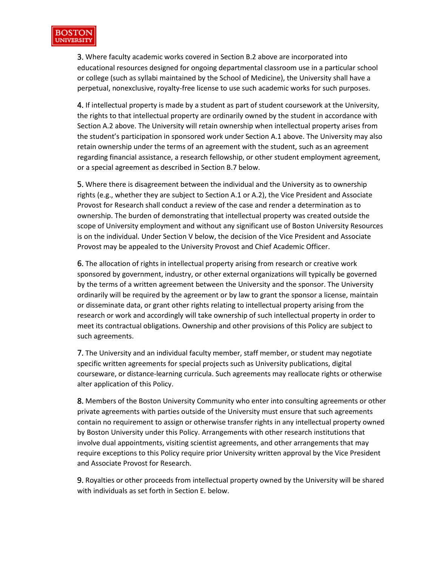

3. Where faculty academic works covered in Section B.2 above are incorporated into educational resources designed for ongoing departmental classroom use in a particular school or college (such as syllabi maintained by the School of Medicine), the University shall have a perpetual, nonexclusive, royalty-free license to use such academic works for such purposes.

4. If intellectual property is made by a student as part of student coursework at the University, the rights to that intellectual property are ordinarily owned by the student in accordance with Section A.2 above. The University will retain ownership when intellectual property arises from the student's participation in sponsored work under Section A.1 above. The University may also retain ownership under the terms of an agreement with the student, such as an agreement regarding financial assistance, a research fellowship, or other student employment agreement, or a special agreement as described in Section B.7 below.

5. Where there is disagreement between the individual and the University as to ownership rights (e.g., whether they are subject to Section A.1 or A.2), the Vice President and Associate Provost for Research shall conduct a review of the case and render a determination as to ownership. The burden of demonstrating that intellectual property was created outside the scope of University employment and without any significant use of Boston University Resources is on the individual. Under Section V below, the decision of the Vice President and Associate Provost may be appealed to the University Provost and Chief Academic Officer.

6. The allocation of rights in intellectual property arising from research or creative work sponsored by government, industry, or other external organizations will typically be governed by the terms of a written agreement between the University and the sponsor. The University ordinarily will be required by the agreement or by law to grant the sponsor a license, maintain or disseminate data, or grant other rights relating to intellectual property arising from the research or work and accordingly will take ownership of such intellectual property in order to meet its contractual obligations. Ownership and other provisions of this Policy are subject to such agreements.

7. The University and an individual faculty member, staff member, or student may negotiate specific written agreements for special projects such as University publications, digital courseware, or distance-learning curricula. Such agreements may reallocate rights or otherwise alter application of this Policy.

8. Members of the Boston University Community who enter into consulting agreements or other private agreements with parties outside of the University must ensure that such agreements contain no requirement to assign or otherwise transfer rights in any intellectual property owned by Boston University under this Policy. Arrangements with other research institutions that involve dual appointments, visiting scientist agreements, and other arrangements that may require exceptions to this Policy require prior University written approval by the Vice President and Associate Provost for Research.

9. Royalties or other proceeds from intellectual property owned by the University will be shared with individuals as set forth in Section E. below.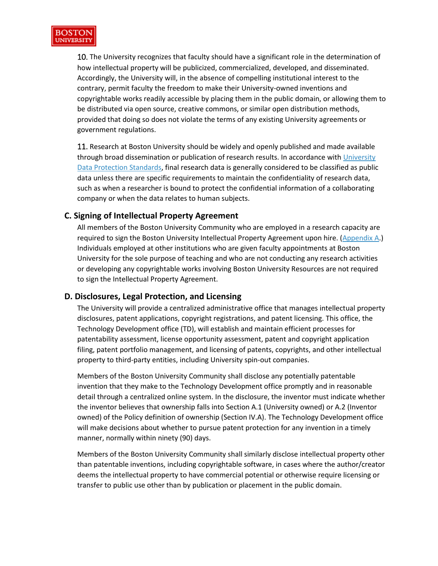

10. The University recognizes that faculty should have a significant role in the determination of how intellectual property will be publicized, commercialized, developed, and disseminated. Accordingly, the University will, in the absence of compelling institutional interest to the contrary, permit faculty the freedom to make their University-owned inventions and copyrightable works readily accessible by placing them in the public domain, or allowing them to be distributed via open source, creative commons, or similar open distribution methods, provided that doing so does not violate the terms of any existing University agreements or government regulations.

11. Research at Boston University should be widely and openly published and made available through broad dissemination or publication of research results. In accordance with [University](http://www.bu.edu/policies/information-security-home/data-protection-standards/) Data Protection [Standards,](http://www.bu.edu/policies/information-security-home/data-protection-standards/) final research data is generally considered to be classified as public data unless there are specific requirements to maintain the confidentiality of research data, such as when a researcher is bound to protect the confidential information of a collaborating company or when the data relates to human subjects.

#### **C. Signing of Intellectual Property Agreement**

All members of the Boston University Community who are employed in a research capacity are required to sign the Boston University Intellectual Property Agreement upon hire. [\(Appendix](https://www.bu.edu/academics/policies/intellectual-property-policy/#AppendixA) A.) Individuals employed at other institutions who are given faculty appointments at Boston University for the sole purpose of teaching and who are not conducting any research activities or developing any copyrightable works involving Boston University Resources are not required to sign the Intellectual Property Agreement.

#### **D. Disclosures, Legal Protection, and Licensing**

The University will provide a centralized administrative office that manages intellectual property disclosures, patent applications, copyright registrations, and patent licensing. This office, the Technology Development office (TD), will establish and maintain efficient processes for patentability assessment, license opportunity assessment, patent and copyright application filing, patent portfolio management, and licensing of patents, copyrights, and other intellectual property to third-party entities, including University spin-out companies.

Members of the Boston University Community shall disclose any potentially patentable invention that they make to the Technology Development office promptly and in reasonable detail through a centralized online system. In the disclosure, the inventor must indicate whether the inventor believes that ownership falls into Section A.1 (University owned) or A.2 (Inventor owned) of the Policy definition of ownership (Section IV.A). The Technology Development office will make decisions about whether to pursue patent protection for any invention in a timely manner, normally within ninety (90) days.

Members of the Boston University Community shall similarly disclose intellectual property other than patentable inventions, including copyrightable software, in cases where the author/creator deems the intellectual property to have commercial potential or otherwise require licensing or transfer to public use other than by publication or placement in the public domain.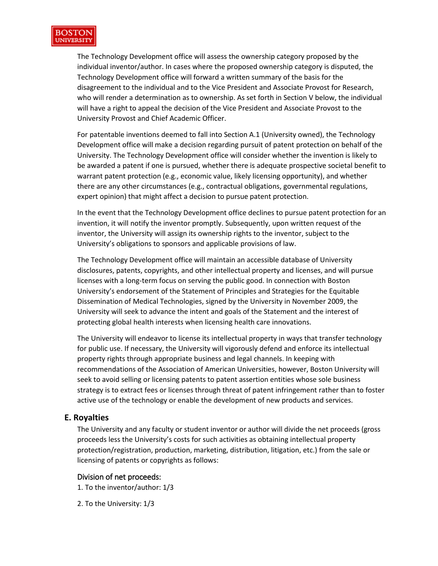

The Technology Development office will assess the ownership category proposed by the individual inventor/author. In cases where the proposed ownership category is disputed, the Technology Development office will forward a written summary of the basis for the disagreement to the individual and to the Vice President and Associate Provost for Research, who will render a determination as to ownership. As set forth in Section V below, the individual will have a right to appeal the decision of the Vice President and Associate Provost to the University Provost and Chief Academic Officer.

For patentable inventions deemed to fall into Section A.1 (University owned), the Technology Development office will make a decision regarding pursuit of patent protection on behalf of the University. The Technology Development office will consider whether the invention is likely to be awarded a patent if one is pursued, whether there is adequate prospective societal benefit to warrant patent protection (e.g., economic value, likely licensing opportunity), and whether there are any other circumstances (e.g., contractual obligations, governmental regulations, expert opinion) that might affect a decision to pursue patent protection.

In the event that the Technology Development office declines to pursue patent protection for an invention, it will notify the inventor promptly. Subsequently, upon written request of the inventor, the University will assign its ownership rights to the inventor, subject to the University's obligations to sponsors and applicable provisions of law.

The Technology Development office will maintain an accessible database of University disclosures, patents, copyrights, and other intellectual property and licenses, and will pursue licenses with a long-term focus on serving the public good. In connection with Boston University's endorsement of the Statement of Principles and Strategies for the Equitable Dissemination of Medical Technologies, signed by the University in November 2009, the University will seek to advance the intent and goals of the Statement and the interest of protecting global health interests when licensing health care innovations.

The University will endeavor to license its intellectual property in ways that transfer technology for public use. If necessary, the University will vigorously defend and enforce its intellectual property rights through appropriate business and legal channels. In keeping with recommendations of the Association of American Universities, however, Boston University will seek to avoid selling or licensing patents to patent assertion entities whose sole business strategy is to extract fees or licenses through threat of patent infringement rather than to foster active use of the technology or enable the development of new products and services.

#### **E. Royalties**

The University and any faculty or student inventor or author will divide the net proceeds (gross proceeds less the University's costs for such activities as obtaining intellectual property protection/registration, production, marketing, distribution, litigation, etc.) from the sale or licensing of patents or copyrights as follows:

#### Division of net proceeds:

1. To the inventor/author: 1/3

2. To the University: 1/3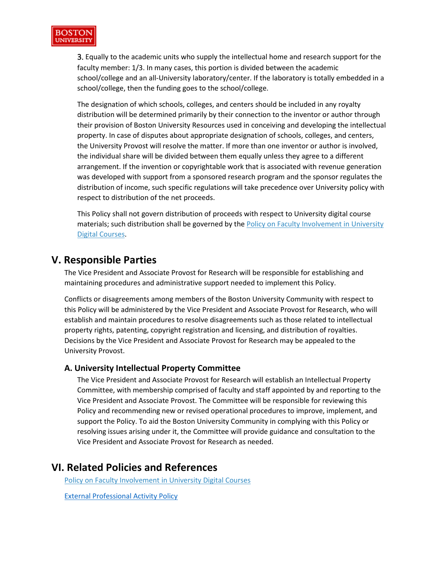

3. Equally to the academic units who supply the intellectual home and research support for the faculty member: 1/3. In many cases, this portion is divided between the academic school/college and an all-University laboratory/center. If the laboratory is totally embedded in a school/college, then the funding goes to the school/college.

The designation of which schools, colleges, and centers should be included in any royalty distribution will be determined primarily by their connection to the inventor or author through their provision of Boston University Resources used in conceiving and developing the intellectual property. In case of disputes about appropriate designation of schools, colleges, and centers, the University Provost will resolve the matter. If more than one inventor or author is involved, the individual share will be divided between them equally unless they agree to a different arrangement. If the invention or copyrightable work that is associated with revenue generation was developed with support from a sponsored research program and the sponsor regulates the distribution of income, such specific regulations will take precedence over University policy with respect to distribution of the net proceeds.

This Policy shall not govern distribution of proceeds with respect to University digital course materials; such distribution shall be governed by the Policy on Faculty [Involvement](https://www.bu.edu/handbook/ethics/faculty-involvement-in-university-digital-courses/) in University Digital [Courses.](https://www.bu.edu/handbook/ethics/faculty-involvement-in-university-digital-courses/)

# **V. Responsible Parties**

The Vice President and Associate Provost for Research will be responsible for establishing and maintaining procedures and administrative support needed to implement this Policy.

Conflicts or disagreements among members of the Boston University Community with respect to this Policy will be administered by the Vice President and Associate Provost for Research, who will establish and maintain procedures to resolve disagreements such as those related to intellectual property rights, patenting, copyright registration and licensing, and distribution of royalties. Decisions by the Vice President and Associate Provost for Research may be appealed to the University Provost.

#### **A. University Intellectual Property Committee**

The Vice President and Associate Provost for Research will establish an Intellectual Property Committee, with membership comprised of faculty and staff appointed by and reporting to the Vice President and Associate Provost. The Committee will be responsible for reviewing this Policy and recommending new or revised operational procedures to improve, implement, and support the Policy. To aid the Boston University Community in complying with this Policy or resolving issues arising under it, the Committee will provide guidance and consultation to the Vice President and Associate Provost for Research as needed.

### **VI. Related Policies and References**

Policy on Faculty [Involvement](https://www.bu.edu/handbook/ethics/faculty-involvement-in-university-digital-courses/) in University Digital Courses

[External Professional Activity Policy](https://www.bu.edu/handbook/ethics/external-professional-activity/)